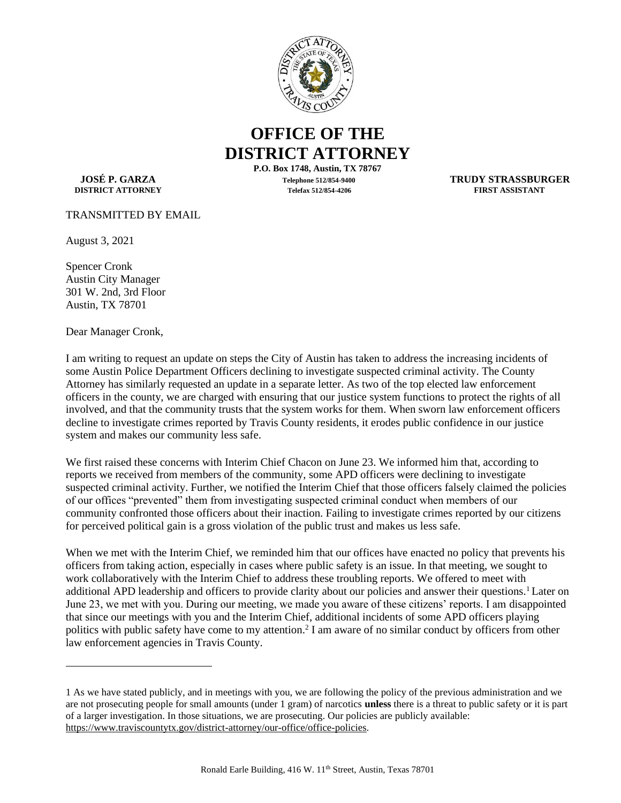

## **OFFICE OF THE DISTRICT ATTORNEY**

**DISTRICT ATTORNEY** 

**P.O. Box 1748, Austin, TX 78767 JOSÉ P. GARZA Telephone 512/854-9400 TRUDY STRASSBURGER**

TRANSMITTED BY EMAIL

August 3, 2021

Spencer Cronk Austin City Manager 301 W. 2nd, 3rd Floor Austin, TX 78701

Dear Manager Cronk,

I am writing to request an update on steps the City of Austin has taken to address the increasing incidents of some Austin Police Department Officers declining to investigate suspected criminal activity. The County Attorney has similarly requested an update in a separate letter. As two of the top elected law enforcement officers in the county, we are charged with ensuring that our justice system functions to protect the rights of all involved, and that the community trusts that the system works for them. When sworn law enforcement officers decline to investigate crimes reported by Travis County residents, it erodes public confidence in our justice system and makes our community less safe.

We first raised these concerns with Interim Chief Chacon on June 23. We informed him that, according to reports we received from members of the community, some APD officers were declining to investigate suspected criminal activity. Further, we notified the Interim Chief that those officers falsely claimed the policies of our offices "prevented" them from investigating suspected criminal conduct when members of our community confronted those officers about their inaction. Failing to investigate crimes reported by our citizens for perceived political gain is a gross violation of the public trust and makes us less safe.

When we met with the Interim Chief, we reminded him that our offices have enacted no policy that prevents his officers from taking action, especially in cases where public safety is an issue. In that meeting, we sought to work collaboratively with the Interim Chief to address these troubling reports. We offered to meet with additional APD leadership and officers to provide clarity about our policies and answer their questions.<sup>1</sup> Later on June 23, we met with you. During our meeting, we made you aware of these citizens' reports. I am disappointed that since our meetings with you and the Interim Chief, additional incidents of some APD officers playing politics with public safety have come to my attention.<sup>2</sup> I am aware of no similar conduct by officers from other law enforcement agencies in Travis County.

<sup>1</sup> As we have stated publicly, and in meetings with you, we are following the policy of the previous administration and we are not prosecuting people for small amounts (under 1 gram) of narcotics **unless** there is a threat to public safety or it is part of a larger investigation. In those situations, we are prosecuting. Our policies are publicly available: [https://www.traviscountytx.gov/district-attorney/our-office/office-policies.](https://www.traviscountytx.gov/district-attorney/our-office/office-policies)